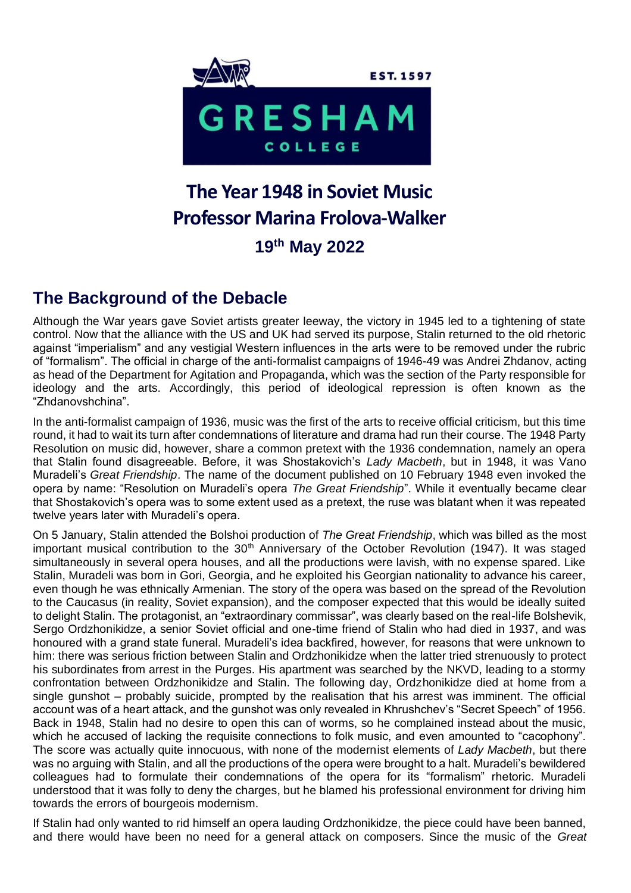

# **The Year 1948 in Soviet Music Professor Marina Frolova-Walker 19th May 2022**

## **The Background of the Debacle**

Although the War years gave Soviet artists greater leeway, the victory in 1945 led to a tightening of state control. Now that the alliance with the US and UK had served its purpose, Stalin returned to the old rhetoric against "imperialism" and any vestigial Western influences in the arts were to be removed under the rubric of "formalism". The official in charge of the anti-formalist campaigns of 1946-49 was Andrei Zhdanov, acting as head of the Department for Agitation and Propaganda, which was the section of the Party responsible for ideology and the arts. Accordingly, this period of ideological repression is often known as the "Zhdanovshchina".

In the anti-formalist campaign of 1936, music was the first of the arts to receive official criticism, but this time round, it had to wait its turn after condemnations of literature and drama had run their course. The 1948 Party Resolution on music did, however, share a common pretext with the 1936 condemnation, namely an opera that Stalin found disagreeable. Before, it was Shostakovich's *Lady Macbeth*, but in 1948, it was Vano Muradeli's *Great Friendship*. The name of the document published on 10 February 1948 even invoked the opera by name: "Resolution on Muradeli's opera *The Great Friendship*". While it eventually became clear that Shostakovich's opera was to some extent used as a pretext, the ruse was blatant when it was repeated twelve years later with Muradeli's opera.

On 5 January, Stalin attended the Bolshoi production of *The Great Friendship*, which was billed as the most important musical contribution to the 30<sup>th</sup> Anniversary of the October Revolution (1947). It was staged simultaneously in several opera houses, and all the productions were lavish, with no expense spared. Like Stalin, Muradeli was born in Gori, Georgia, and he exploited his Georgian nationality to advance his career, even though he was ethnically Armenian. The story of the opera was based on the spread of the Revolution to the Caucasus (in reality, Soviet expansion), and the composer expected that this would be ideally suited to delight Stalin. The protagonist, an "extraordinary commissar", was clearly based on the real-life Bolshevik, Sergo Ordzhonikidze, a senior Soviet official and one-time friend of Stalin who had died in 1937, and was honoured with a grand state funeral. Muradeli's idea backfired, however, for reasons that were unknown to him: there was serious friction between Stalin and Ordzhonikidze when the latter tried strenuously to protect his subordinates from arrest in the Purges. His apartment was searched by the NKVD, leading to a stormy confrontation between Ordzhonikidze and Stalin. The following day, Ordzhonikidze died at home from a single gunshot – probably suicide, prompted by the realisation that his arrest was imminent. The official account was of a heart attack, and the gunshot was only revealed in Khrushchev's "Secret Speech" of 1956. Back in 1948, Stalin had no desire to open this can of worms, so he complained instead about the music, which he accused of lacking the requisite connections to folk music, and even amounted to "cacophony". The score was actually quite innocuous, with none of the modernist elements of *Lady Macbeth*, but there was no arguing with Stalin, and all the productions of the opera were brought to a halt. Muradeli's bewildered colleagues had to formulate their condemnations of the opera for its "formalism" rhetoric. Muradeli understood that it was folly to deny the charges, but he blamed his professional environment for driving him towards the errors of bourgeois modernism.

If Stalin had only wanted to rid himself an opera lauding Ordzhonikidze, the piece could have been banned, and there would have been no need for a general attack on composers. Since the music of the *Great*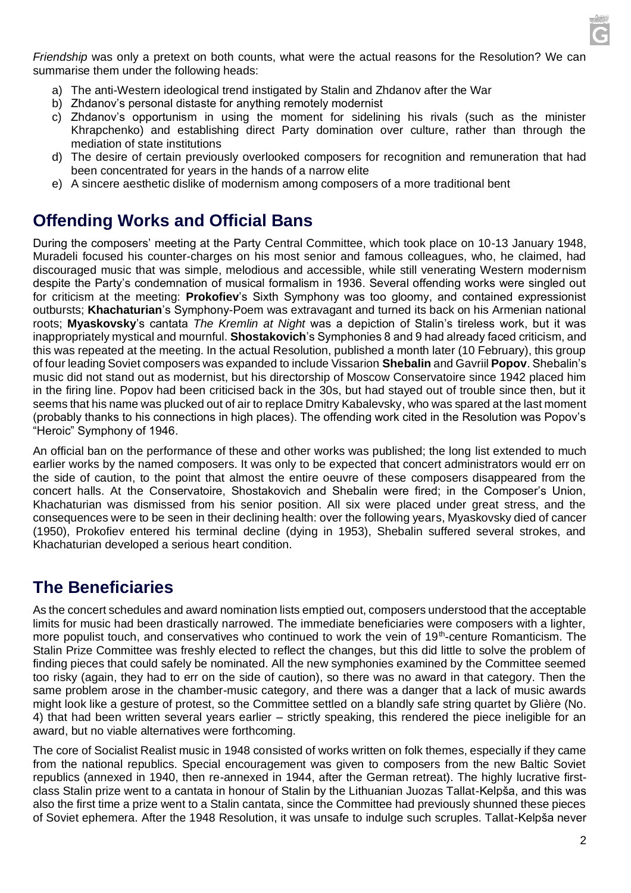

*Friendship* was only a pretext on both counts, what were the actual reasons for the Resolution? We can summarise them under the following heads:

- a) The anti-Western ideological trend instigated by Stalin and Zhdanov after the War
- b) Zhdanov's personal distaste for anything remotely modernist
- c) Zhdanov's opportunism in using the moment for sidelining his rivals (such as the minister Khrapchenko) and establishing direct Party domination over culture, rather than through the mediation of state institutions
- d) The desire of certain previously overlooked composers for recognition and remuneration that had been concentrated for years in the hands of a narrow elite
- e) A sincere aesthetic dislike of modernism among composers of a more traditional bent

#### **Offending Works and Official Bans**

During the composers' meeting at the Party Central Committee, which took place on 10-13 January 1948, Muradeli focused his counter-charges on his most senior and famous colleagues, who, he claimed, had discouraged music that was simple, melodious and accessible, while still venerating Western modernism despite the Party's condemnation of musical formalism in 1936. Several offending works were singled out for criticism at the meeting: **Prokofiev**'s Sixth Symphony was too gloomy, and contained expressionist outbursts; **Khachaturian**'s Symphony-Poem was extravagant and turned its back on his Armenian national roots; **Myaskovsky**'s cantata *The Kremlin at Night* was a depiction of Stalin's tireless work, but it was inappropriately mystical and mournful. **Shostakovich**'s Symphonies 8 and 9 had already faced criticism, and this was repeated at the meeting. In the actual Resolution, published a month later (10 February), this group of four leading Soviet composers was expanded to include Vissarion **Shebalin** and Gavriil **Popov**. Shebalin's music did not stand out as modernist, but his directorship of Moscow Conservatoire since 1942 placed him in the firing line. Popov had been criticised back in the 30s, but had stayed out of trouble since then, but it seems that his name was plucked out of air to replace Dmitry Kabalevsky, who was spared at the last moment (probably thanks to his connections in high places). The offending work cited in the Resolution was Popov's "Heroic" Symphony of 1946.

An official ban on the performance of these and other works was published; the long list extended to much earlier works by the named composers. It was only to be expected that concert administrators would err on the side of caution, to the point that almost the entire oeuvre of these composers disappeared from the concert halls. At the Conservatoire, Shostakovich and Shebalin were fired; in the Composer's Union, Khachaturian was dismissed from his senior position. All six were placed under great stress, and the consequences were to be seen in their declining health: over the following years, Myaskovsky died of cancer (1950), Prokofiev entered his terminal decline (dying in 1953), Shebalin suffered several strokes, and Khachaturian developed a serious heart condition.

#### **The Beneficiaries**

As the concert schedules and award nomination lists emptied out, composers understood that the acceptable limits for music had been drastically narrowed. The immediate beneficiaries were composers with a lighter, more populist touch, and conservatives who continued to work the vein of 19<sup>th</sup>-centure Romanticism. The Stalin Prize Committee was freshly elected to reflect the changes, but this did little to solve the problem of finding pieces that could safely be nominated. All the new symphonies examined by the Committee seemed too risky (again, they had to err on the side of caution), so there was no award in that category. Then the same problem arose in the chamber-music category, and there was a danger that a lack of music awards might look like a gesture of protest, so the Committee settled on a blandly safe string quartet by Glière (No. 4) that had been written several years earlier – strictly speaking, this rendered the piece ineligible for an award, but no viable alternatives were forthcoming.

The core of Socialist Realist music in 1948 consisted of works written on folk themes, especially if they came from the national republics. Special encouragement was given to composers from the new Baltic Soviet republics (annexed in 1940, then re-annexed in 1944, after the German retreat). The highly lucrative firstclass Stalin prize went to a cantata in honour of Stalin by the Lithuanian Juozas Tallat-Kelpša, and this was also the first time a prize went to a Stalin cantata, since the Committee had previously shunned these pieces of Soviet ephemera. After the 1948 Resolution, it was unsafe to indulge such scruples. Tallat-Kelpša never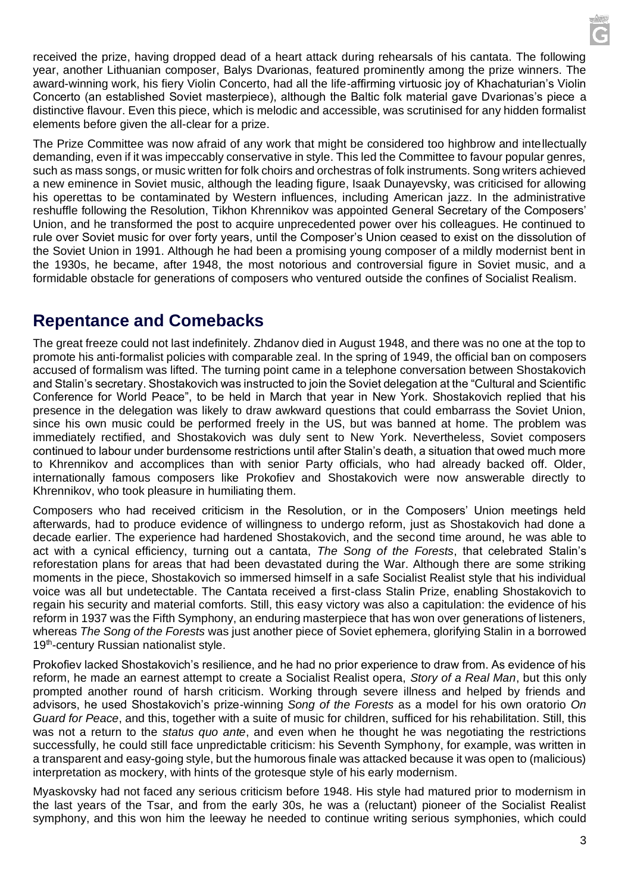received the prize, having dropped dead of a heart attack during rehearsals of his cantata. The following year, another Lithuanian composer, Balys Dvarionas, featured prominently among the prize winners. The award-winning work, his fiery Violin Concerto, had all the life-affirming virtuosic joy of Khachaturian's Violin Concerto (an established Soviet masterpiece), although the Baltic folk material gave Dvarionas's piece a distinctive flavour. Even this piece, which is melodic and accessible, was scrutinised for any hidden formalist elements before given the all-clear for a prize.

The Prize Committee was now afraid of any work that might be considered too highbrow and intellectually demanding, even if it was impeccably conservative in style. This led the Committee to favour popular genres, such as mass songs, or music written for folk choirs and orchestras of folk instruments. Song writers achieved a new eminence in Soviet music, although the leading figure, Isaak Dunayevsky, was criticised for allowing his operettas to be contaminated by Western influences, including American jazz. In the administrative reshuffle following the Resolution, Tikhon Khrennikov was appointed General Secretary of the Composers' Union, and he transformed the post to acquire unprecedented power over his colleagues. He continued to rule over Soviet music for over forty years, until the Composer's Union ceased to exist on the dissolution of the Soviet Union in 1991. Although he had been a promising young composer of a mildly modernist bent in the 1930s, he became, after 1948, the most notorious and controversial figure in Soviet music, and a formidable obstacle for generations of composers who ventured outside the confines of Socialist Realism.

### **Repentance and Comebacks**

The great freeze could not last indefinitely. Zhdanov died in August 1948, and there was no one at the top to promote his anti-formalist policies with comparable zeal. In the spring of 1949, the official ban on composers accused of formalism was lifted. The turning point came in a telephone conversation between Shostakovich and Stalin's secretary. Shostakovich was instructed to join the Soviet delegation at the "Cultural and Scientific Conference for World Peace", to be held in March that year in New York. Shostakovich replied that his presence in the delegation was likely to draw awkward questions that could embarrass the Soviet Union, since his own music could be performed freely in the US, but was banned at home. The problem was immediately rectified, and Shostakovich was duly sent to New York. Nevertheless, Soviet composers continued to labour under burdensome restrictions until after Stalin's death, a situation that owed much more to Khrennikov and accomplices than with senior Party officials, who had already backed off. Older, internationally famous composers like Prokofiev and Shostakovich were now answerable directly to Khrennikov, who took pleasure in humiliating them.

Composers who had received criticism in the Resolution, or in the Composers' Union meetings held afterwards, had to produce evidence of willingness to undergo reform, just as Shostakovich had done a decade earlier. The experience had hardened Shostakovich, and the second time around, he was able to act with a cynical efficiency, turning out a cantata, *The Song of the Forests*, that celebrated Stalin's reforestation plans for areas that had been devastated during the War. Although there are some striking moments in the piece, Shostakovich so immersed himself in a safe Socialist Realist style that his individual voice was all but undetectable. The Cantata received a first-class Stalin Prize, enabling Shostakovich to regain his security and material comforts. Still, this easy victory was also a capitulation: the evidence of his reform in 1937 was the Fifth Symphony, an enduring masterpiece that has won over generations of listeners, whereas *The Song of the Forests* was just another piece of Soviet ephemera, glorifying Stalin in a borrowed 19<sup>th</sup>-century Russian nationalist style.

Prokofiev lacked Shostakovich's resilience, and he had no prior experience to draw from. As evidence of his reform, he made an earnest attempt to create a Socialist Realist opera, *Story of a Real Man*, but this only prompted another round of harsh criticism. Working through severe illness and helped by friends and advisors, he used Shostakovich's prize-winning *Song of the Forests* as a model for his own oratorio *On Guard for Peace*, and this, together with a suite of music for children, sufficed for his rehabilitation. Still, this was not a return to the *status quo ante*, and even when he thought he was negotiating the restrictions successfully, he could still face unpredictable criticism: his Seventh Symphony, for example, was written in a transparent and easy-going style, but the humorous finale was attacked because it was open to (malicious) interpretation as mockery, with hints of the grotesque style of his early modernism.

Myaskovsky had not faced any serious criticism before 1948. His style had matured prior to modernism in the last years of the Tsar, and from the early 30s, he was a (reluctant) pioneer of the Socialist Realist symphony, and this won him the leeway he needed to continue writing serious symphonies, which could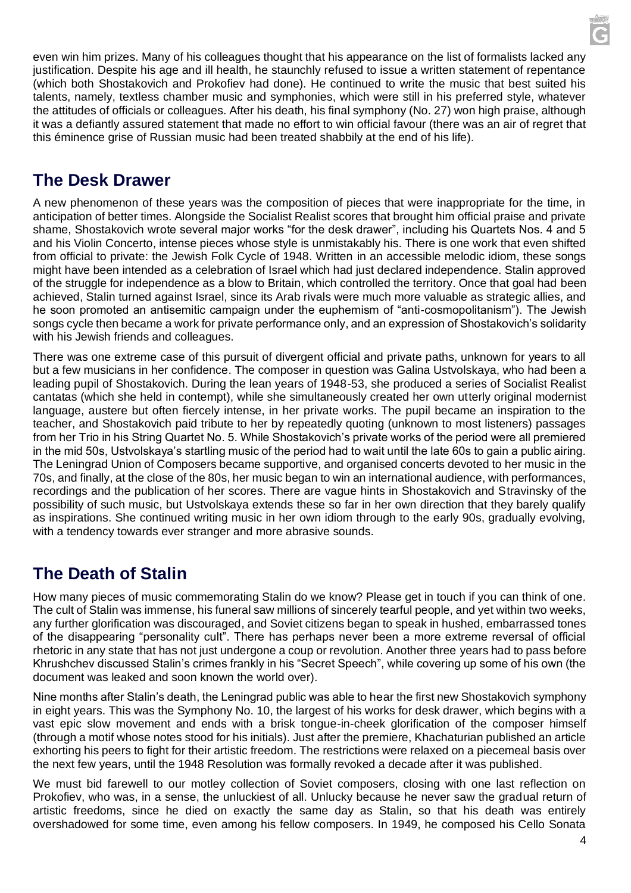even win him prizes. Many of his colleagues thought that his appearance on the list of formalists lacked any justification. Despite his age and ill health, he staunchly refused to issue a written statement of repentance (which both Shostakovich and Prokofiev had done). He continued to write the music that best suited his talents, namely, textless chamber music and symphonies, which were still in his preferred style, whatever the attitudes of officials or colleagues. After his death, his final symphony (No. 27) won high praise, although it was a defiantly assured statement that made no effort to win official favour (there was an air of regret that this éminence grise of Russian music had been treated shabbily at the end of his life).

## **The Desk Drawer**

A new phenomenon of these years was the composition of pieces that were inappropriate for the time, in anticipation of better times. Alongside the Socialist Realist scores that brought him official praise and private shame, Shostakovich wrote several major works "for the desk drawer", including his Quartets Nos. 4 and 5 and his Violin Concerto, intense pieces whose style is unmistakably his. There is one work that even shifted from official to private: the Jewish Folk Cycle of 1948. Written in an accessible melodic idiom, these songs might have been intended as a celebration of Israel which had just declared independence. Stalin approved of the struggle for independence as a blow to Britain, which controlled the territory. Once that goal had been achieved, Stalin turned against Israel, since its Arab rivals were much more valuable as strategic allies, and he soon promoted an antisemitic campaign under the euphemism of "anti-cosmopolitanism"). The Jewish songs cycle then became a work for private performance only, and an expression of Shostakovich's solidarity with his Jewish friends and colleagues.

There was one extreme case of this pursuit of divergent official and private paths, unknown for years to all but a few musicians in her confidence. The composer in question was Galina Ustvolskaya, who had been a leading pupil of Shostakovich. During the lean years of 1948-53, she produced a series of Socialist Realist cantatas (which she held in contempt), while she simultaneously created her own utterly original modernist language, austere but often fiercely intense, in her private works. The pupil became an inspiration to the teacher, and Shostakovich paid tribute to her by repeatedly quoting (unknown to most listeners) passages from her Trio in his String Quartet No. 5. While Shostakovich's private works of the period were all premiered in the mid 50s, Ustvolskaya's startling music of the period had to wait until the late 60s to gain a public airing. The Leningrad Union of Composers became supportive, and organised concerts devoted to her music in the 70s, and finally, at the close of the 80s, her music began to win an international audience, with performances, recordings and the publication of her scores. There are vague hints in Shostakovich and Stravinsky of the possibility of such music, but Ustvolskaya extends these so far in her own direction that they barely qualify as inspirations. She continued writing music in her own idiom through to the early 90s, gradually evolving, with a tendency towards ever stranger and more abrasive sounds.

# **The Death of Stalin**

How many pieces of music commemorating Stalin do we know? Please get in touch if you can think of one. The cult of Stalin was immense, his funeral saw millions of sincerely tearful people, and yet within two weeks, any further glorification was discouraged, and Soviet citizens began to speak in hushed, embarrassed tones of the disappearing "personality cult". There has perhaps never been a more extreme reversal of official rhetoric in any state that has not just undergone a coup or revolution. Another three years had to pass before Khrushchev discussed Stalin's crimes frankly in his "Secret Speech", while covering up some of his own (the document was leaked and soon known the world over).

Nine months after Stalin's death, the Leningrad public was able to hear the first new Shostakovich symphony in eight years. This was the Symphony No. 10, the largest of his works for desk drawer, which begins with a vast epic slow movement and ends with a brisk tongue-in-cheek glorification of the composer himself (through a motif whose notes stood for his initials). Just after the premiere, Khachaturian published an article exhorting his peers to fight for their artistic freedom. The restrictions were relaxed on a piecemeal basis over the next few years, until the 1948 Resolution was formally revoked a decade after it was published.

We must bid farewell to our motley collection of Soviet composers, closing with one last reflection on Prokofiev, who was, in a sense, the unluckiest of all. Unlucky because he never saw the gradual return of artistic freedoms, since he died on exactly the same day as Stalin, so that his death was entirely overshadowed for some time, even among his fellow composers. In 1949, he composed his Cello Sonata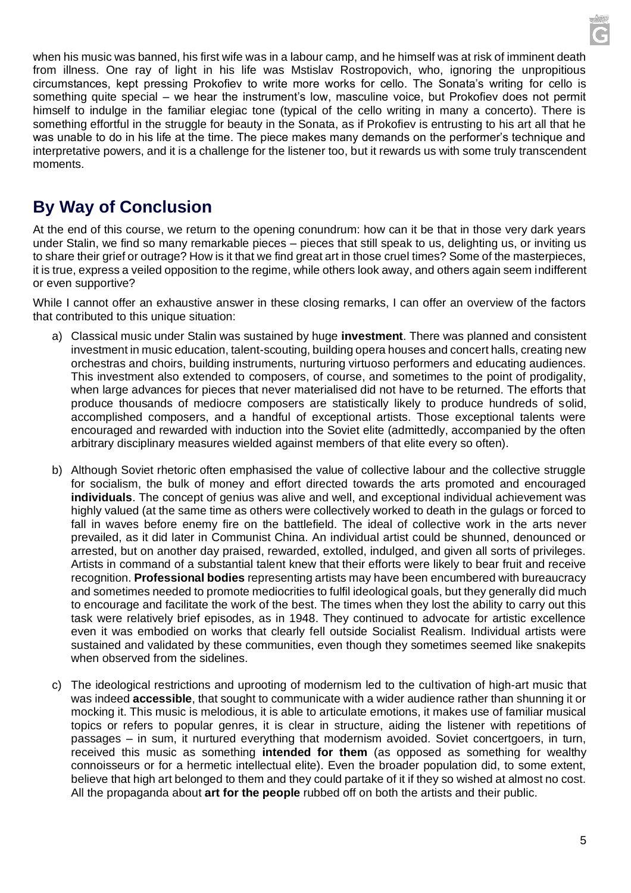when his music was banned, his first wife was in a labour camp, and he himself was at risk of imminent death from illness. One ray of light in his life was Mstislav Rostropovich, who, ignoring the unpropitious circumstances, kept pressing Prokofiev to write more works for cello. The Sonata's writing for cello is something quite special – we hear the instrument's low, masculine voice, but Prokofiev does not permit himself to indulge in the familiar elegiac tone (typical of the cello writing in many a concerto). There is something effortful in the struggle for beauty in the Sonata, as if Prokofiev is entrusting to his art all that he was unable to do in his life at the time. The piece makes many demands on the performer's technique and interpretative powers, and it is a challenge for the listener too, but it rewards us with some truly transcendent moments.

## **By Way of Conclusion**

At the end of this course, we return to the opening conundrum: how can it be that in those very dark years under Stalin, we find so many remarkable pieces – pieces that still speak to us, delighting us, or inviting us to share their grief or outrage? How is it that we find great art in those cruel times? Some of the masterpieces, it is true, express a veiled opposition to the regime, while others look away, and others again seem indifferent or even supportive?

While I cannot offer an exhaustive answer in these closing remarks, I can offer an overview of the factors that contributed to this unique situation:

- a) Classical music under Stalin was sustained by huge **investment**. There was planned and consistent investment in music education, talent-scouting, building opera houses and concert halls, creating new orchestras and choirs, building instruments, nurturing virtuoso performers and educating audiences. This investment also extended to composers, of course, and sometimes to the point of prodigality, when large advances for pieces that never materialised did not have to be returned. The efforts that produce thousands of mediocre composers are statistically likely to produce hundreds of solid, accomplished composers, and a handful of exceptional artists. Those exceptional talents were encouraged and rewarded with induction into the Soviet elite (admittedly, accompanied by the often arbitrary disciplinary measures wielded against members of that elite every so often).
- b) Although Soviet rhetoric often emphasised the value of collective labour and the collective struggle for socialism, the bulk of money and effort directed towards the arts promoted and encouraged **individuals**. The concept of genius was alive and well, and exceptional individual achievement was highly valued (at the same time as others were collectively worked to death in the gulags or forced to fall in waves before enemy fire on the battlefield. The ideal of collective work in the arts never prevailed, as it did later in Communist China. An individual artist could be shunned, denounced or arrested, but on another day praised, rewarded, extolled, indulged, and given all sorts of privileges. Artists in command of a substantial talent knew that their efforts were likely to bear fruit and receive recognition. **Professional bodies** representing artists may have been encumbered with bureaucracy and sometimes needed to promote mediocrities to fulfil ideological goals, but they generally did much to encourage and facilitate the work of the best. The times when they lost the ability to carry out this task were relatively brief episodes, as in 1948. They continued to advocate for artistic excellence even it was embodied on works that clearly fell outside Socialist Realism. Individual artists were sustained and validated by these communities, even though they sometimes seemed like snakepits when observed from the sidelines.
- c) The ideological restrictions and uprooting of modernism led to the cultivation of high-art music that was indeed **accessible**, that sought to communicate with a wider audience rather than shunning it or mocking it. This music is melodious, it is able to articulate emotions, it makes use of familiar musical topics or refers to popular genres, it is clear in structure, aiding the listener with repetitions of passages – in sum, it nurtured everything that modernism avoided. Soviet concertgoers, in turn, received this music as something **intended for them** (as opposed as something for wealthy connoisseurs or for a hermetic intellectual elite). Even the broader population did, to some extent, believe that high art belonged to them and they could partake of it if they so wished at almost no cost. All the propaganda about **art for the people** rubbed off on both the artists and their public.